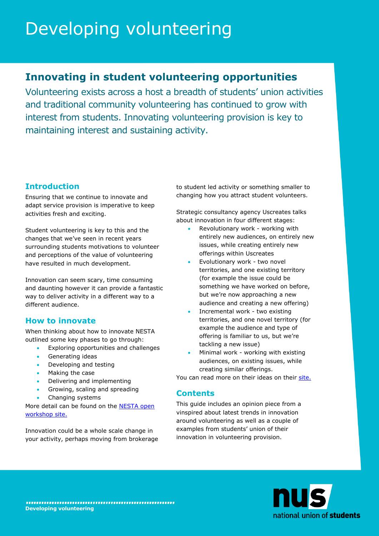# Developing volunteering

# **Innovating in student volunteering opportunities**

Volunteering exists across a host a breadth of students' union activities and traditional community volunteering has continued to grow with interest from students. Innovating volunteering provision is key to maintaining interest and sustaining activity.

# **Introduction**

Ensuring that we continue to innovate and adapt service provision is imperative to keep activities fresh and exciting.

Student volunteering is key to this and the changes that we've seen in recent years surrounding students motivations to volunteer and perceptions of the value of volunteering have resulted in much development.

Innovation can seem scary, time consuming and daunting however it can provide a fantastic way to deliver activity in a different way to a different audience.

### **How to innovate**

When thinking about how to innovate NESTA outlined some key phases to go through:

- **Exploring opportunities and challenges**
- Generating ideas
- Developing and testing
- Making the case
- Delivering and implementing
- Growing, scaling and spreading
- Changing systems

More detail can be found on the [NESTA open](https://openworkshop.nesta.org.uk/topics)  [workshop](https://openworkshop.nesta.org.uk/topics) site.

Innovation could be a whole scale change in your activity, perhaps moving from brokerage

to student led activity or something smaller to changing how you attract student volunteers.

Strategic consultancy agency Uscreates talks about innovation in four different stages:

- Revolutionary work working with entirely new audiences, on entirely new issues, while creating entirely new offerings within Uscreates
- Evolutionary work two novel territories, and one existing territory (for example the issue could be something we have worked on before, but we're now approaching a new audience and creating a new offering)
- Incremental work two existing territories, and one novel territory (for example the audience and type of offering is familiar to us, but we're tackling a new issue)
- Minimal work working with existing audiences, on existing issues, while creating similar offerings.

You can read more on their ideas on their [site.](http://uscreates.com/2013/03/28/how-innovative-has-uscreates-been/)

### **Contents**

This guide includes an opinion piece from a vinspired about latest trends in innovation around volunteering as well as a couple of examples from students' union of their innovation in volunteering provision.

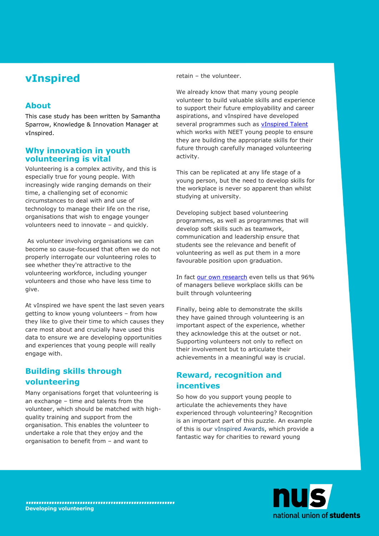# **vInspired**

### **About**

This case study has been written by Samantha Sparrow, Knowledge & Innovation Manager at vInspired.

#### **Why innovation in youth volunteering is vital**

Volunteering is a complex activity, and this is especially true for young people. With increasingly wide ranging demands on their time, a challenging set of economic circumstances to deal with and use of technology to manage their life on the rise, organisations that wish to engage younger volunteers need to innovate – and quickly.

As volunteer involving organisations we can become so cause-focused that often we do not properly interrogate our volunteering roles to see whether they're attractive to the volunteering workforce, including younger volunteers and those who have less time to give.

At vInspired we have spent the last seven years getting to know young volunteers – from how they like to give their time to which causes they care most about and crucially have used this data to ensure we are developing opportunities and experiences that young people will really engage with.

# **Building skills through volunteering**

Many organisations forget that volunteering is an exchange – time and talents from the volunteer, which should be matched with highquality training and support from the organisation. This enables the volunteer to undertake a role that they enjoy and the organisation to benefit from – and want to

retain – the volunteer.

We already know that many young people volunteer to build valuable skills and experience to support their future employability and career aspirations, and vInspired have developed several programmes such as **vInspired Talent** which works with NEET young people to ensure they are building the appropriate skills for their future through carefully managed volunteering activity.

This can be replicated at any life stage of a young person, but the need to develop skills for the workplace is never so apparent than whilst studying at university.

Developing subject based volunteering programmes, as well as programmes that will develop soft skills such as teamwork, communication and leadership ensure that students see the relevance and benefit of volunteering as well as put them in a more favourable position upon graduation.

In fact [our own research](http://vinspired.org/resources/51) even tells us that 96% of managers believe workplace skills can be built through volunteering

Finally, being able to demonstrate the skills they have gained through volunteering is an important aspect of the experience, whether they acknowledge this at the outset or not. Supporting volunteers not only to reflect on their involvement but to articulate their achievements in a meaningful way is crucial.

# **Reward, recognition and incentives**

So how do you support young people to articulate the achievements they have experienced through volunteering? Recognition is an important part of this puzzle. An example of this is our [vInspired Awards,](http://vinspired.com/rewards/awards) which provide a fantastic way for charities to reward young

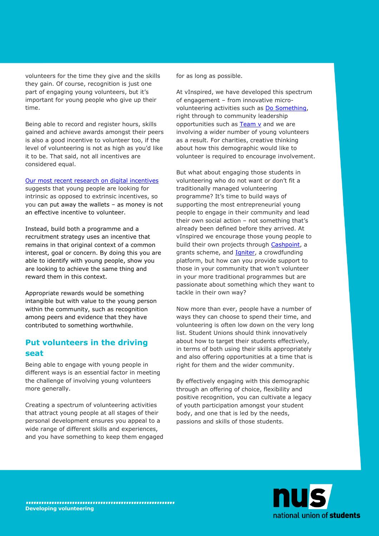volunteers for the time they give and the skills they gain. Of course, recognition is just one part of engaging young volunteers, but it's important for young people who give up their time.

Being able to record and register hours, skills gained and achieve awards amongst their peers is also a good incentive to volunteer too, if the level of volunteering is not as high as you'd like it to be. That said, not all incentives are considered equal.

#### [Our most recent research on digital incentives](http://engageimpact.vinspired.com/)

suggests that young people are looking for intrinsic as opposed to extrinsic incentives, so you can put away the wallets – as money is not an effective incentive to volunteer.

Instead, build both a programme and a recruitment strategy uses an incentive that remains in that original context of a common interest, goal or concern. By doing this you are able to identify with young people, show you are looking to achieve the same thing and reward them in this context.

Appropriate rewards would be something intangible but with value to the young person within the community, such as recognition among peers and evidence that they have contributed to something worthwhile.

#### **Put volunteers in the driving seat**

Being able to engage with young people in different ways is an essential factor in meeting the challenge of involving young volunteers more generally.

Creating a spectrum of volunteering activities that attract young people at all stages of their personal development ensures you appeal to a wide range of different skills and experiences, and you have something to keep them engaged for as long as possible.

At vInspired, we have developed this spectrum of engagement – from innovative micro-volunteering activities such as [Do Something,](http://vinspired.org/do-something-uk) right through to community leadership opportunities such as  $Team v$  and we are</u> involving a wider number of young volunteers as a result. For charities, creative thinking about how this demographic would like to volunteer is required to encourage involvement.

But what about engaging those students in volunteering who do not want or don't fit a traditionally managed volunteering programme? It's time to build ways of supporting the most entrepreneurial young people to engage in their community and lead their own social action – not something that's already been defined before they arrived. At vInspired we encourage those young people to build their own projects through [Cashpoint,](http://vinspired.org/vcashpoint) a grants scheme, and **Igniter**, a crowdfunding platform, but how can you provide support to those in your community that won't volunteer in your more traditional programmes but are passionate about something which they want to tackle in their own way?

Now more than ever, people have a number of ways they can choose to spend their time, and volunteering is often low down on the very long list. Student Unions should think innovatively about how to target their students effectively, in terms of both using their skills appropriately and also offering opportunities at a time that is right for them and the wider community.

By effectively engaging with this demographic through an offering of choice, flexibility and positive recognition, you can cultivate a legacy of youth participation amongst your student body, and one that is led by the needs, passions and skills of those students.

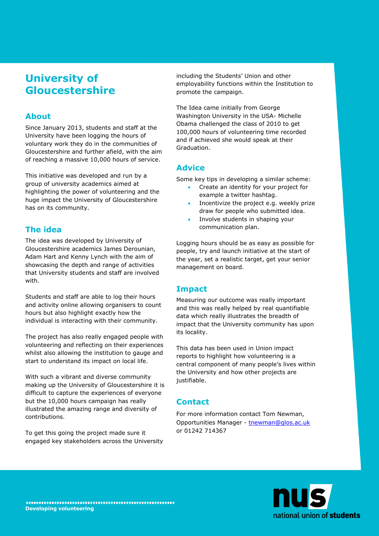# **University of Gloucestershire**

### **About**

Since January 2013, students and staff at the University have been logging the hours of voluntary work they do in the communities of Gloucestershire and further afield, with the aim of reaching a massive 10,000 hours of service.

This initiative was developed and run by a group of university academics aimed at highlighting the power of volunteering and the huge impact the University of Gloucestershire has on its community.

### **The idea**

The idea was developed by University of Gloucestershire academics James Derounian, Adam Hart and Kenny Lynch with the aim of showcasing the depth and range of activities that University students and staff are involved with.

Students and staff are able to log their hours and activity online allowing organisers to count hours but also highlight exactly how the individual is interacting with their community.

The project has also really engaged people with volunteering and reflecting on their experiences whilst also allowing the institution to gauge and start to understand its impact on local life.

With such a vibrant and diverse community making up the University of Gloucestershire it is difficult to capture the experiences of everyone but the 10,000 hours campaign has really illustrated the amazing range and diversity of contributions.

To get this going the project made sure it engaged key stakeholders across the University including the Students' Union and other employability functions within the Institution to promote the campaign.

The Idea came initially from George Washington University in the USA- Michelle Obama challenged the class of 2010 to get 100,000 hours of volunteering time recorded and if achieved she would speak at their Graduation.

### **Advice**

Some key tips in developing a similar scheme:

- Create an identity for your project for example a twitter hashtag.
- Incentivize the project e.g. weekly prize draw for people who submitted idea.
- Involve students in shaping your communication plan.

Logging hours should be as easy as possible for people, try and launch initiative at the start of the year, set a realistic target, get your senior management on board.

#### **Impact**

Measuring our outcome was really important and this was really helped by real quantifiable data which really illustrates the breadth of impact that the University community has upon its locality.

This data has been used in Union impact reports to highlight how volunteering is a central component of many people's lives within the University and how other projects are justifiable.

# **Contact**

For more information contact Tom Newman, Opportunities Manager - [tnewman@glos.ac.uk](mailto:tnewman@glos.ac.uk) or 01242 714367

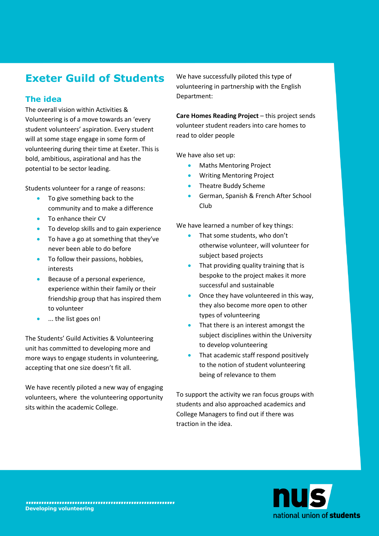# **Exeter Guild of Students**

# **The idea**

The overall vision within Activities & Volunteering is of a move towards an 'every student volunteers' aspiration. Every student will at some stage engage in some form of volunteering during their time at Exeter. This is bold, ambitious, aspirational and has the potential to be sector leading.

Students volunteer for a range of reasons:

- To give something back to the community and to make a difference
- To enhance their CV
- To develop skills and to gain experience
- To have a go at something that they've never been able to do before
- To follow their passions, hobbies, interests
- Because of a personal experience, experience within their family or their friendship group that has inspired them to volunteer
- ... the list goes on!

The Students' Guild Activities & Volunteering unit has committed to developing more and more ways to engage students in volunteering, accepting that one size doesn't fit all.

We have recently piloted a new way of engaging volunteers, where the volunteering opportunity sits within the academic College.

We have successfully piloted this type of volunteering in partnership with the English Department:

**Care Homes Reading Project** – this project sends volunteer student readers into care homes to read to older people

We have also set up:

- **Maths Mentoring Project**
- **Writing Mentoring Project**
- Theatre Buddy Scheme
- **German, Spanish & French After School** Club

We have learned a number of key things:

- That some students, who don't otherwise volunteer, will volunteer for subject based projects
- That providing quality training that is bespoke to the project makes it more successful and sustainable
- Once they have volunteered in this way, they also become more open to other types of volunteering
- That there is an interest amongst the subject disciplines within the University to develop volunteering
- That academic staff respond positively to the notion of student volunteering being of relevance to them

To support the activity we ran focus groups with students and also approached academics and College Managers to find out if there was traction in the idea.

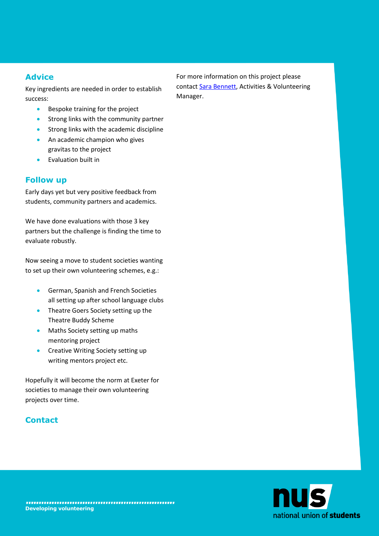### **Advice**

Key ingredients are needed in order to establish success:

- **Bespoke training for the project**
- **•** Strong links with the community partner
- **Strong links with the academic discipline**
- An academic champion who gives gravitas to the project
- **•** Fvaluation built in

### **Follow up**

Early days yet but very positive feedback from students, community partners and academics.

We have done evaluations with those 3 key partners but the challenge is finding the time to evaluate robustly.

Now seeing a move to student societies wanting to set up their own volunteering schemes, e.g.:

- **German, Spanish and French Societies** all setting up after school language clubs
- Theatre Goers Society setting up the Theatre Buddy Scheme
- Maths Society setting up maths mentoring project
- **•** Creative Writing Society setting up writing mentors project etc.

Hopefully it will become the norm at Exeter for societies to manage their own volunteering projects over time.

### **Contact**

For more information on this project please contact [Sara Bennett,](mailto:s.l.bennett@exeter.ac.uk?subject=Query%20about%20your%20soieties%20volunteering%20scheme) Activities & Volunteering Manager.